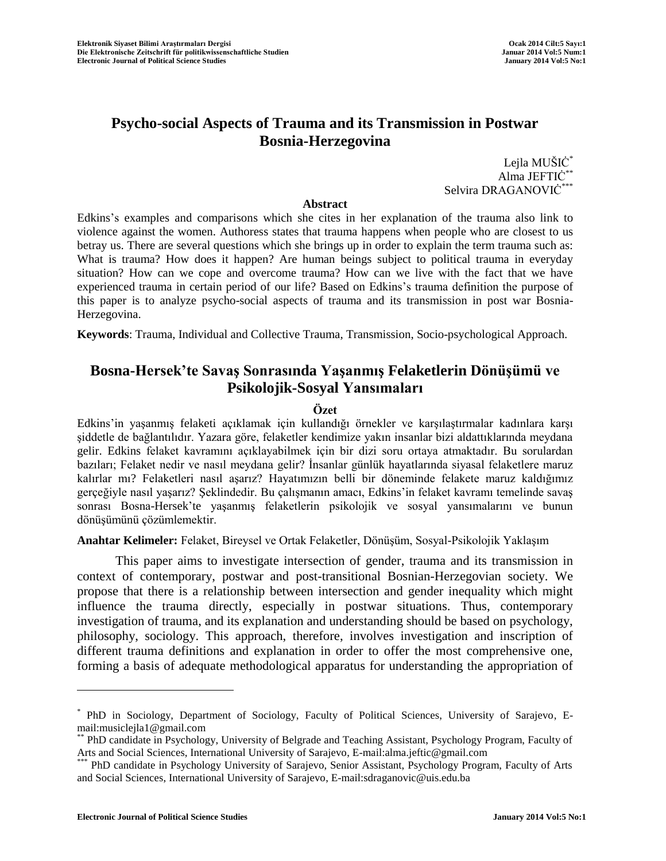# **Psycho-social Aspects of Trauma and its Transmission in Postwar Bosnia-Herzegovina**

Lejla MUŠIĊ<sup>\*</sup> Alma JEFTIĊ\*\* Selvira DRAGANOVIĊ<sup>\*</sup>

#### **Abstract**

Edkins's examples and comparisons which she cites in her explanation of the trauma also link to violence against the women. Authoress states that trauma happens when people who are closest to us betray us. There are several questions which she brings up in order to explain the term trauma such as: What is trauma? How does it happen? Are human beings subject to political trauma in everyday situation? How can we cope and overcome trauma? How can we live with the fact that we have experienced trauma in certain period of our life? Based on Edkins's trauma definition the purpose of this paper is to analyze psycho-social aspects of trauma and its transmission in post war Bosnia-Herzegovina.

**Keywords**: Trauma, Individual and Collective Trauma, Transmission, Socio-psychological Approach.

# **Bosna-Hersek'te Savaş Sonrasında Yaşanmış Felaketlerin Dönüşümü ve Psikolojik-Sosyal Yansımaları**

### **Özet**

Edkins'in yaşanmış felaketi açıklamak için kullandığı örnekler ve karşılaştırmalar kadınlara karşı şiddetle de bağlantılıdır. Yazara göre, felaketler kendimize yakın insanlar bizi aldattıklarında meydana gelir. Edkins felaket kavramını açıklayabilmek için bir dizi soru ortaya atmaktadır. Bu sorulardan bazıları; Felaket nedir ve nasıl meydana gelir? İnsanlar günlük hayatlarında siyasal felaketlere maruz kalırlar mı? Felaketleri nasıl aşarız? Hayatımızın belli bir döneminde felakete maruz kaldığımız gerçeğiyle nasıl yaşarız? Şeklindedir. Bu çalışmanın amacı, Edkins'in felaket kavramı temelinde savaş sonrası Bosna-Hersek'te yaşanmış felaketlerin psikolojik ve sosyal yansımalarını ve bunun dönüşümünü çözümlemektir.

**Anahtar Kelimeler:** Felaket, Bireysel ve Ortak Felaketler, Dönüşüm, Sosyal-Psikolojik Yaklaşım

This paper aims to investigate intersection of gender, trauma and its transmission in context of contemporary, postwar and post-transitional Bosnian-Herzegovian society. We propose that there is a relationship between intersection and gender inequality which might influence the trauma directly, especially in postwar situations. Thus, contemporary investigation of trauma, and its explanation and understanding should be based on psychology, philosophy, sociology. This approach, therefore, involves investigation and inscription of different trauma definitions and explanation in order to offer the most comprehensive one, forming a basis of adequate methodological apparatus for understanding the appropriation of

<sup>\*</sup> PhD in Sociology, Department of Sociology, Faculty of Political Sciences, University of Sarajevo, Email:musiclejla1@gmail.com

<sup>\*\*</sup> PhD candidate in Psychology, University of Belgrade and Teaching Assistant, Psychology Program, Faculty of Arts and Social Sciences, International University of Sarajevo, E-mail:alma.jeftic@gmail.com

PhD candidate in Psychology University of Sarajevo, Senior Assistant, Psychology Program, Faculty of Arts and Social Sciences, International University of Sarajevo, E-mail:sdraganovic@uis.edu.ba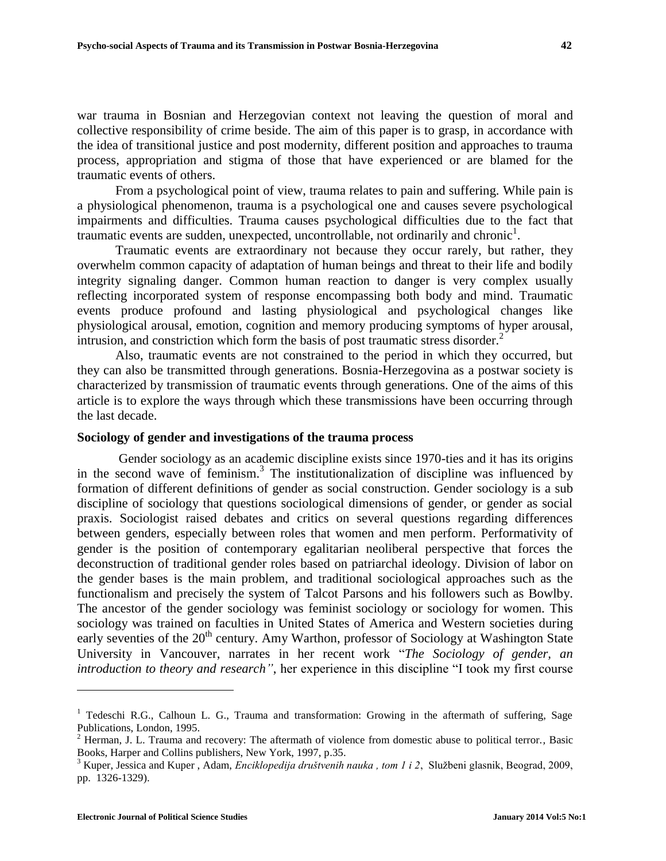war trauma in Bosnian and Herzegovian context not leaving the question of moral and collective responsibility of crime beside. The aim of this paper is to grasp, in accordance with the idea of transitional justice and post modernity, different position and approaches to trauma process, appropriation and stigma of those that have experienced or are blamed for the traumatic events of others.

From a psychological point of view, trauma relates to pain and suffering. While pain is a physiological phenomenon, trauma is a psychological one and causes severe psychological impairments and difficulties. Trauma causes psychological difficulties due to the fact that traumatic events are sudden, unexpected, uncontrollable, not ordinarily and chronic<sup>1</sup>.

Traumatic events are extraordinary not because they occur rarely, but rather, they overwhelm common capacity of adaptation of human beings and threat to their life and bodily integrity signaling danger. Common human reaction to danger is very complex usually reflecting incorporated system of response encompassing both body and mind. Traumatic events produce profound and lasting physiological and psychological changes like physiological arousal, emotion, cognition and memory producing symptoms of hyper arousal, intrusion, and constriction which form the basis of post traumatic stress disorder. $<sup>2</sup>$ </sup>

Also, traumatic events are not constrained to the period in which they occurred, but they can also be transmitted through generations. Bosnia-Herzegovina as a postwar society is characterized by transmission of traumatic events through generations. One of the aims of this article is to explore the ways through which these transmissions have been occurring through the last decade.

## **Sociology of gender and investigations of the trauma process**

Gender sociology as an academic discipline exists since 1970-ties and it has its origins in the second wave of feminism. 3 The institutionalization of discipline was influenced by formation of different definitions of gender as social construction. Gender sociology is a sub discipline of sociology that questions sociological dimensions of gender, or gender as social praxis. Sociologist raised debates and critics on several questions regarding differences between genders, especially between roles that women and men perform. Performativity of gender is the position of contemporary egalitarian neoliberal perspective that forces the deconstruction of traditional gender roles based on patriarchal ideology. Division of labor on the gender bases is the main problem, and traditional sociological approaches such as the functionalism and precisely the system of Talcot Parsons and his followers such as Bowlby. The ancestor of the gender sociology was feminist sociology or sociology for women. This sociology was trained on faculties in United States of America and Western societies during early seventies of the 20<sup>th</sup> century. Amy Warthon, professor of Sociology at Washington State University in Vancouver, narrates in her recent work "*The Sociology of gender, an introduction to theory and research"*, her experience in this discipline "I took my first course

<sup>&</sup>lt;sup>1</sup> Tedeschi R.G., Calhoun L. G., Trauma and transformation: Growing in the aftermath of suffering, Sage Publications, London, 1995.

<sup>2</sup> Herman, J. L. Trauma and recovery: The aftermath of violence from domestic abuse to political terror.*,* Basic Books, Harper and Collins publishers, New York, 1997, p.35.

<sup>3</sup> Kuper, Jessica and Kuper , Adam, *Enciklopedija društvenih nauka , tom 1 i 2*, Službeni glasnik, Beograd, 2009, pp. 1326-1329).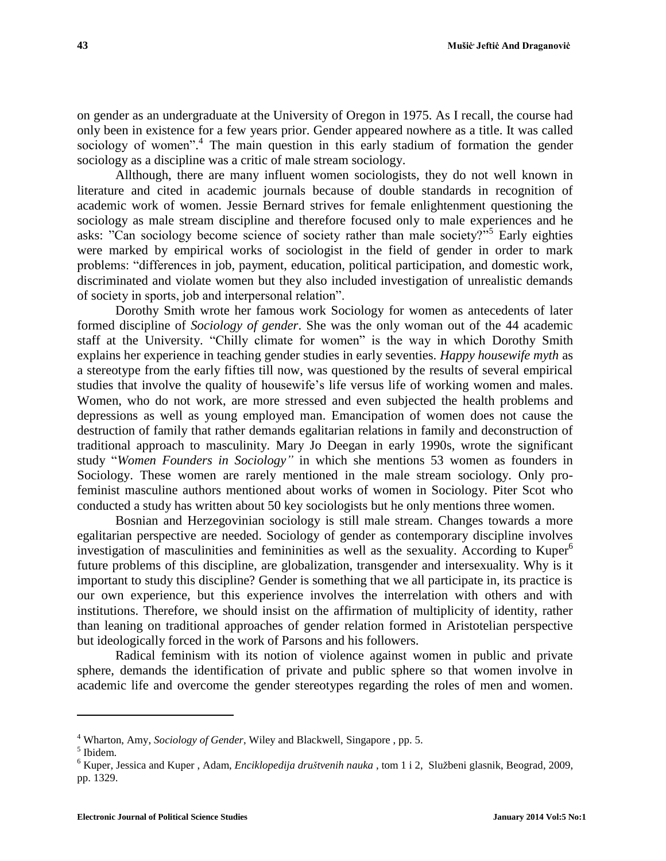on gender as an undergraduate at the University of Oregon in 1975. As I recall, the course had only been in existence for a few years prior. Gender appeared nowhere as a title. It was called sociology of women".<sup>4</sup> The main question in this early stadium of formation the gender sociology as a discipline was a critic of male stream sociology.

Allthough, there are many influent women sociologists, they do not well known in literature and cited in academic journals because of double standards in recognition of academic work of women. Jessie Bernard strives for female enlightenment questioning the sociology as male stream discipline and therefore focused only to male experiences and he asks: "Can sociology become science of society rather than male society?"<sup>55</sup> Early eighties were marked by empirical works of sociologist in the field of gender in order to mark problems: "differences in job, payment, education, political participation, and domestic work, discriminated and violate women but they also included investigation of unrealistic demands of society in sports, job and interpersonal relation".

Dorothy Smith wrote her famous work Sociology for women as antecedents of later formed discipline of *Sociology of gender*. She was the only woman out of the 44 academic staff at the University. "Chilly climate for women" is the way in which Dorothy Smith explains her experience in teaching gender studies in early seventies. *Happy housewife myth* as a stereotype from the early fifties till now, was questioned by the results of several empirical studies that involve the quality of housewife's life versus life of working women and males. Women, who do not work, are more stressed and even subjected the health problems and depressions as well as young employed man. Emancipation of women does not cause the destruction of family that rather demands egalitarian relations in family and deconstruction of traditional approach to masculinity. Mary Jo Deegan in early 1990s, wrote the significant study "*Women Founders in Sociology"* in which she mentions 53 women as founders in Sociology. These women are rarely mentioned in the male stream sociology. Only profeminist masculine authors mentioned about works of women in Sociology. Piter Scot who conducted a study has written about 50 key sociologists but he only mentions three women.

Bosnian and Herzegovinian sociology is still male stream. Changes towards a more egalitarian perspective are needed. Sociology of gender as contemporary discipline involves investigation of masculinities and femininities as well as the sexuality. According to Kuper $<sup>6</sup>$ </sup> future problems of this discipline, are globalization, transgender and intersexuality. Why is it important to study this discipline? Gender is something that we all participate in, its practice is our own experience, but this experience involves the interrelation with others and with institutions. Therefore, we should insist on the affirmation of multiplicity of identity, rather than leaning on traditional approaches of gender relation formed in Aristotelian perspective but ideologically forced in the work of Parsons and his followers.

Radical feminism with its notion of violence against women in public and private sphere, demands the identification of private and public sphere so that women involve in academic life and overcome the gender stereotypes regarding the roles of men and women.

<sup>4</sup> Wharton, Amy, *Sociology of Gender*, Wiley and Blackwell, Singapore , pp. 5.

<sup>5</sup> Ibidem.

<sup>6</sup> Kuper, Jessica and Kuper , Adam, *Enciklopedija društvenih nauka* , tom 1 i 2, Službeni glasnik, Beograd, 2009, pp. 1329.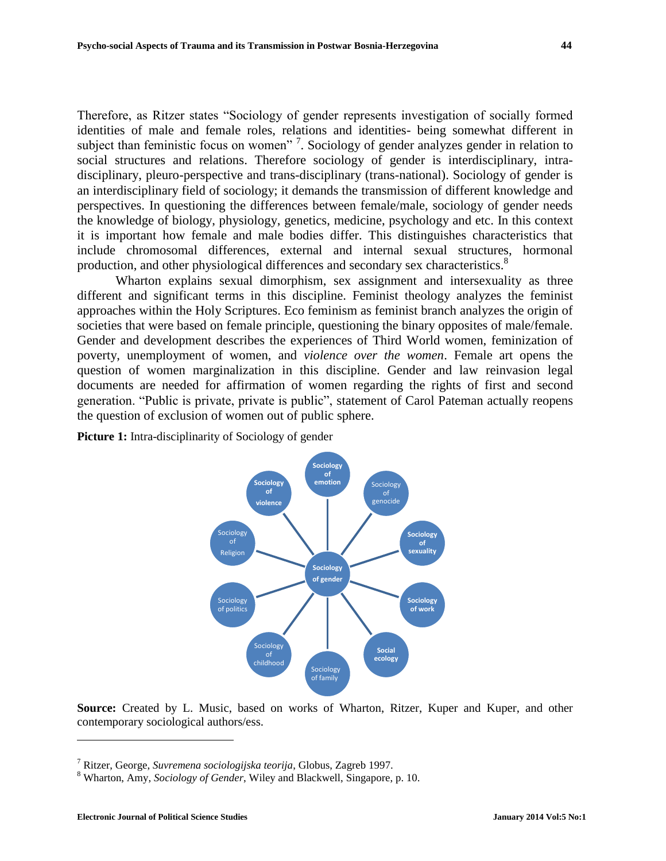Therefore, as Ritzer states "Sociology of gender represents investigation of socially formed identities of male and female roles, relations and identities- being somewhat different in subject than feministic focus on women"<sup>7</sup>. Sociology of gender analyzes gender in relation to social structures and relations. Therefore sociology of gender is interdisciplinary, intradisciplinary, pleuro-perspective and trans-disciplinary (trans-national). Sociology of gender is an interdisciplinary field of sociology; it demands the transmission of different knowledge and perspectives. In questioning the differences between female/male, sociology of gender needs the knowledge of biology, physiology, genetics, medicine, psychology and etc. In this context it is important how female and male bodies differ. This distinguishes characteristics that include chromosomal differences, external and internal sexual structures, hormonal production, and other physiological differences and secondary sex characteristics.<sup>8</sup>

Wharton explains sexual dimorphism, sex assignment and intersexuality as three different and significant terms in this discipline. Feminist theology analyzes the feminist approaches within the Holy Scriptures. Eco feminism as feminist branch analyzes the origin of societies that were based on female principle, questioning the binary opposites of male/female. Gender and development describes the experiences of Third World women, feminization of poverty, unemployment of women, and *violence over the women*. Female art opens the question of women marginalization in this discipline. Gender and law reinvasion legal documents are needed for affirmation of women regarding the rights of first and second generation. "Public is private, private is public", statement of Carol Pateman actually reopens the question of exclusion of women out of public sphere.

**Picture 1:** Intra-disciplinarity of Sociology of gender



**Source:** Created by L. Music, based on works of Wharton, Ritzer, Kuper and Kuper, and other contemporary sociological authors/ess.

<sup>7</sup> Ritzer, George, *Suvremena sociologijska teorija*, Globus, Zagreb 1997.

<sup>8</sup> Wharton, Amy, *Sociology of Gender*, Wiley and Blackwell, Singapore, p. 10.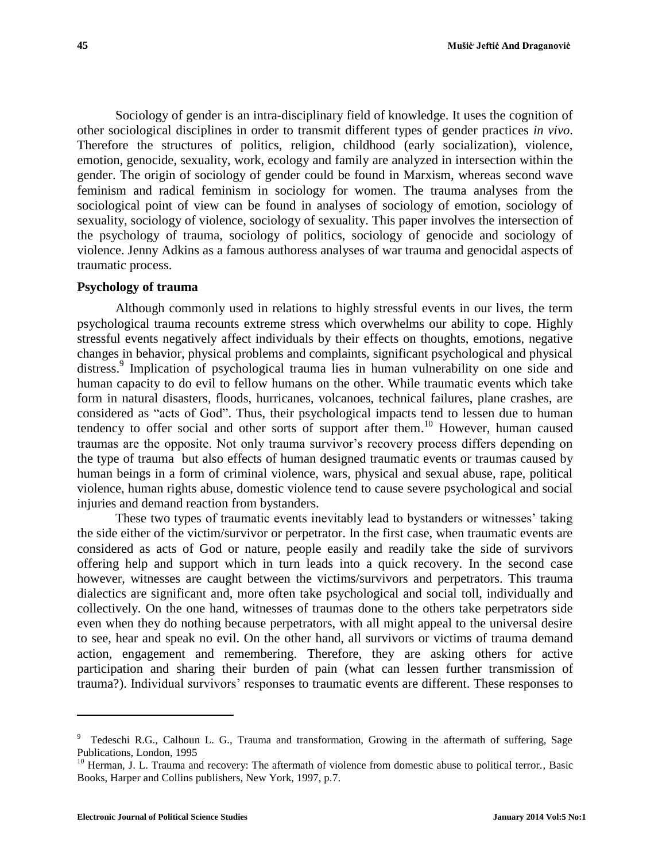Sociology of gender is an intra-disciplinary field of knowledge. It uses the cognition of other sociological disciplines in order to transmit different types of gender practices *in vivo*. Therefore the structures of politics, religion, childhood (early socialization), violence, emotion, genocide, sexuality, work, ecology and family are analyzed in intersection within the gender. The origin of sociology of gender could be found in Marxism, whereas second wave feminism and radical feminism in sociology for women. The trauma analyses from the sociological point of view can be found in analyses of sociology of emotion, sociology of sexuality, sociology of violence, sociology of sexuality. This paper involves the intersection of the psychology of trauma, sociology of politics, sociology of genocide and sociology of violence. Jenny Adkins as a famous authoress analyses of war trauma and genocidal aspects of traumatic process.

#### **Psychology of trauma**

Although commonly used in relations to highly stressful events in our lives, the term psychological trauma recounts extreme stress which overwhelms our ability to cope. Highly stressful events negatively affect individuals by their effects on thoughts, emotions, negative changes in behavior, physical problems and complaints, significant psychological and physical distress. 9 Implication of psychological trauma lies in human vulnerability on one side and human capacity to do evil to fellow humans on the other. While traumatic events which take form in natural disasters, floods, hurricanes, volcanoes, technical failures, plane crashes, are considered as "acts of God". Thus, their psychological impacts tend to lessen due to human tendency to offer social and other sorts of support after them.<sup>10</sup> However, human caused traumas are the opposite. Not only trauma survivor's recovery process differs depending on the type of trauma but also effects of human designed traumatic events or traumas caused by human beings in a form of criminal violence, wars, physical and sexual abuse, rape, political violence, human rights abuse, domestic violence tend to cause severe psychological and social injuries and demand reaction from bystanders.

These two types of traumatic events inevitably lead to bystanders or witnesses' taking the side either of the victim/survivor or perpetrator. In the first case, when traumatic events are considered as acts of God or nature, people easily and readily take the side of survivors offering help and support which in turn leads into a quick recovery. In the second case however, witnesses are caught between the victims/survivors and perpetrators. This trauma dialectics are significant and, more often take psychological and social toll, individually and collectively. On the one hand, witnesses of traumas done to the others take perpetrators side even when they do nothing because perpetrators, with all might appeal to the universal desire to see, hear and speak no evil. On the other hand, all survivors or victims of trauma demand action, engagement and remembering. Therefore, they are asking others for active participation and sharing their burden of pain (what can lessen further transmission of trauma?). Individual survivors' responses to traumatic events are different. These responses to

<sup>9</sup> Tedeschi R.G., Calhoun L. G., Trauma and transformation, Growing in the aftermath of suffering, Sage Publications, London, 1995

<sup>&</sup>lt;sup>10</sup> Herman, J. L. Trauma and recovery: The aftermath of violence from domestic abuse to political terror., Basic Books, Harper and Collins publishers, New York, 1997, p.7.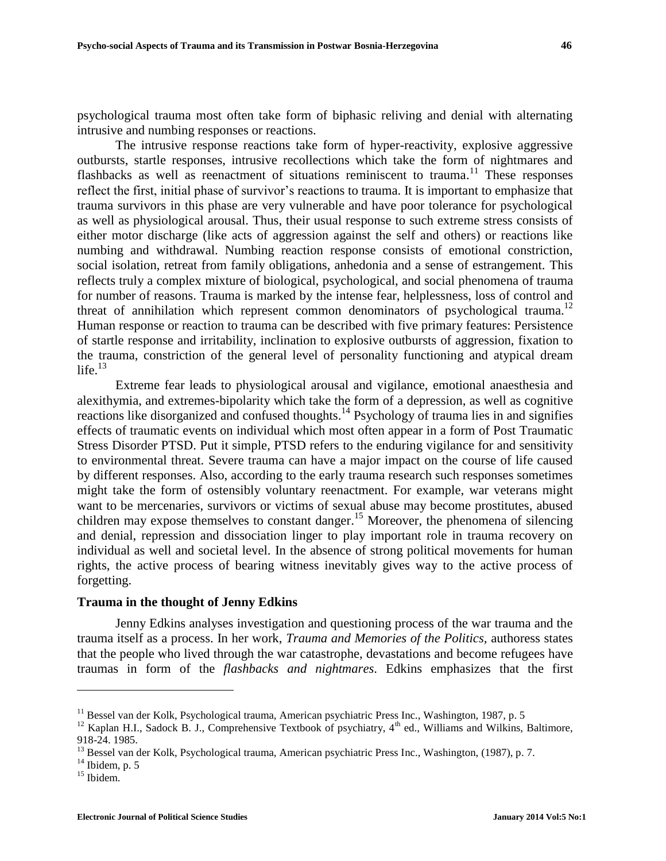psychological trauma most often take form of biphasic reliving and denial with alternating intrusive and numbing responses or reactions.

The intrusive response reactions take form of hyper-reactivity, explosive aggressive outbursts, startle responses, intrusive recollections which take the form of nightmares and flashbacks as well as reenactment of situations reminiscent to trauma.<sup>11</sup> These responses reflect the first, initial phase of survivor's reactions to trauma. It is important to emphasize that trauma survivors in this phase are very vulnerable and have poor tolerance for psychological as well as physiological arousal. Thus, their usual response to such extreme stress consists of either motor discharge (like acts of aggression against the self and others) or reactions like numbing and withdrawal. Numbing reaction response consists of emotional constriction, social isolation, retreat from family obligations, anhedonia and a sense of estrangement. This reflects truly a complex mixture of biological, psychological, and social phenomena of trauma for number of reasons. Trauma is marked by the intense fear, helplessness, loss of control and threat of annihilation which represent common denominators of psychological trauma.<sup>12</sup> Human response or reaction to trauma can be described with five primary features: Persistence of startle response and irritability, inclination to explosive outbursts of aggression, fixation to the trauma, constriction of the general level of personality functioning and atypical dream life. $13$ 

Extreme fear leads to physiological arousal and vigilance, emotional anaesthesia and alexithymia, and extremes-bipolarity which take the form of a depression, as well as cognitive reactions like disorganized and confused thoughts.<sup>14</sup> Psychology of trauma lies in and signifies effects of traumatic events on individual which most often appear in a form of Post Traumatic Stress Disorder PTSD. Put it simple, PTSD refers to the enduring vigilance for and sensitivity to environmental threat. Severe trauma can have a major impact on the course of life caused by different responses. Also, according to the early trauma research such responses sometimes might take the form of ostensibly voluntary reenactment. For example, war veterans might want to be mercenaries, survivors or victims of sexual abuse may become prostitutes, abused children may expose themselves to constant danger. <sup>15</sup> Moreover, the phenomena of silencing and denial, repression and dissociation linger to play important role in trauma recovery on individual as well and societal level. In the absence of strong political movements for human rights, the active process of bearing witness inevitably gives way to the active process of forgetting.

#### **Trauma in the thought of Jenny Edkins**

Jenny Edkins analyses investigation and questioning process of the war trauma and the trauma itself as a process. In her work, *Trauma and Memories of the Politics,* authoress states that the people who lived through the war catastrophe, devastations and become refugees have traumas in form of the *flashbacks and nightmares*. Edkins emphasizes that the first

<sup>&</sup>lt;sup>11</sup> Bessel van der Kolk, Psychological trauma, American psychiatric Press Inc., Washington, 1987, p. 5

<sup>&</sup>lt;sup>12</sup> Kaplan H.I., Sadock B. J., Comprehensive Textbook of psychiatry,  $4<sup>th</sup>$  ed., Williams and Wilkins, Baltimore, 918-24. 1985.

<sup>&</sup>lt;sup>13</sup> Bessel van der Kolk, Psychological trauma, American psychiatric Press Inc., Washington, (1987), p. 7.

 $14$  Ibidem, p. 5

<sup>&</sup>lt;sup>15</sup> Ibidem.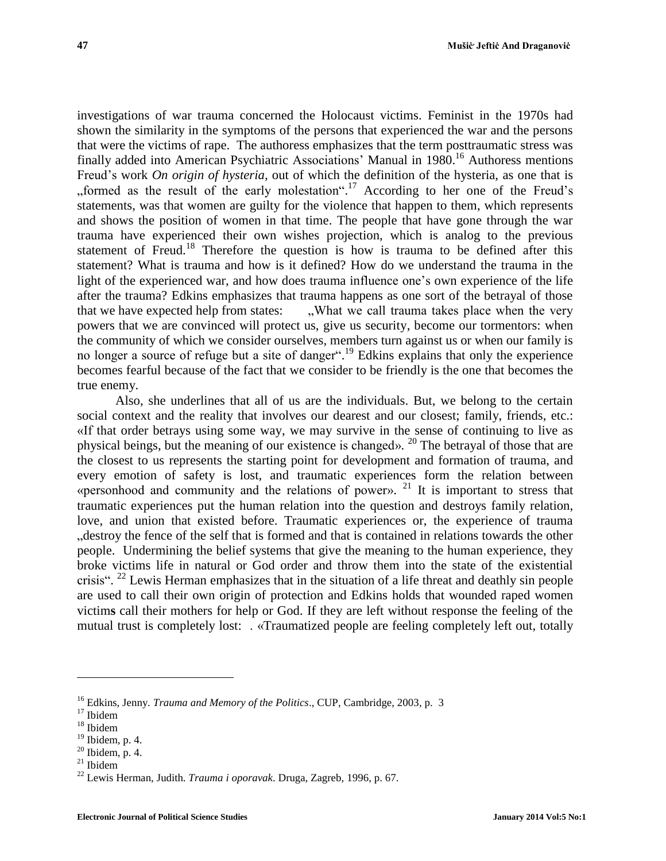investigations of war trauma concerned the Holocaust victims. Feminist in the 1970s had shown the similarity in the symptoms of the persons that experienced the war and the persons that were the victims of rape. The authoress emphasizes that the term posttraumatic stress was finally added into American Psychiatric Associations' Manual in 1980.<sup>16</sup> Authoress mentions Freud's work *On origin of hysteria,* out of which the definition of the hysteria, as one that is "formed as the result of the early molestation".<sup>17</sup> According to her one of the Freud's statements, was that women are guilty for the violence that happen to them, which represents and shows the position of women in that time. The people that have gone through the war trauma have experienced their own wishes projection, which is analog to the previous statement of Freud.<sup>18</sup> Therefore the question is how is trauma to be defined after this statement? What is trauma and how is it defined? How do we understand the trauma in the light of the experienced war, and how does trauma influence one's own experience of the life after the trauma? Edkins emphasizes that trauma happens as one sort of the betrayal of those that we have expected help from states:  $\ldots$  What we call trauma takes place when the very powers that we are convinced will protect us, give us security, become our tormentors: when the community of which we consider ourselves, members turn against us or when our family is no longer a source of refuge but a site of danger".<sup>19</sup> Edkins explains that only the experience becomes fearful because of the fact that we consider to be friendly is the one that becomes the true enemy.

Also, she underlines that all of us are the individuals. But, we belong to the certain social context and the reality that involves our dearest and our closest; family, friends, etc.: «If that order betrays using some way, we may survive in the sense of continuing to live as physical beings, but the meaning of our existence is changed». <sup>20</sup> The betrayal of those that are the closest to us represents the starting point for development and formation of trauma, and every emotion of safety is lost, and traumatic experiences form the relation between «personhood and community and the relations of power». <sup>21</sup> It is important to stress that traumatic experiences put the human relation into the question and destroys family relation, love, and union that existed before. Traumatic experiences or, the experience of trauma "destroy the fence of the self that is formed and that is contained in relations towards the other people. Undermining the belief systems that give the meaning to the human experience, they broke victims life in natural or God order and throw them into the state of the existential crisis". <sup>22</sup> Lewis Herman emphasizes that in the situation of a life threat and deathly sin people are used to call their own origin of protection and Edkins holds that wounded raped women victim**s** call their mothers for help or God. If they are left without response the feeling of the mutual trust is completely lost: . «Traumatized people are feeling completely left out, totally

<sup>16</sup> Edkins, Jenny. *Trauma and Memory of the Politics*., CUP, Cambridge, 2003, p. 3

 $17$  Ibidem

 $^{18}$  Ibidem

 $19$  Ibidem, p. 4.

 $20$  Ibidem, p. 4.

<sup>21</sup> Ibidem

<sup>22</sup> Lewis Herman, Judith. *Trauma i oporavak*. Druga, Zagreb, 1996, p. 67.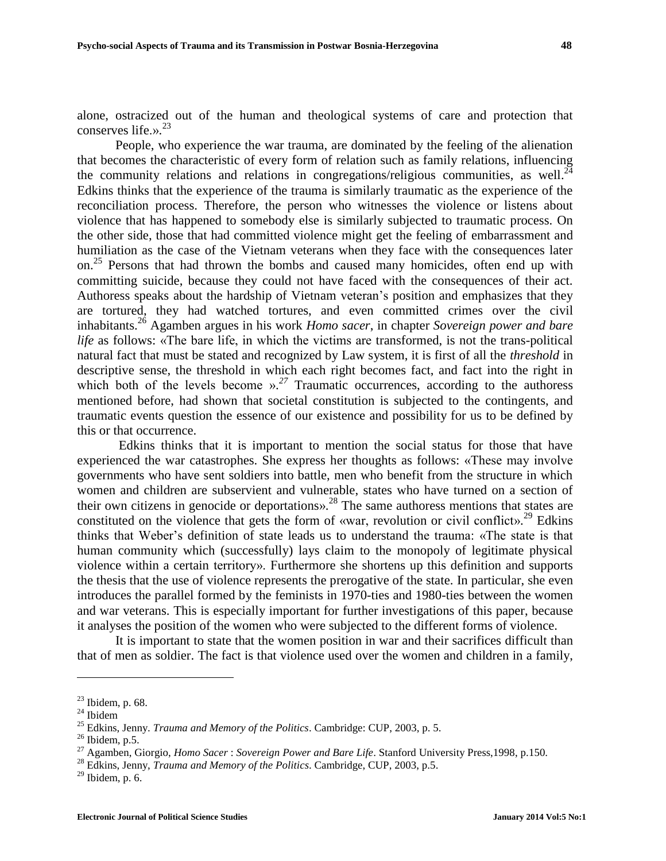alone, ostracized out of the human and theological systems of care and protection that conserves life.». 23

People, who experience the war trauma, are dominated by the feeling of the alienation that becomes the characteristic of every form of relation such as family relations, influencing the community relations and relations in congregations/religious communities, as well. $^{24}$ Edkins thinks that the experience of the trauma is similarly traumatic as the experience of the reconciliation process. Therefore, the person who witnesses the violence or listens about violence that has happened to somebody else is similarly subjected to traumatic process. On the other side, those that had committed violence might get the feeling of embarrassment and humiliation as the case of the Vietnam veterans when they face with the consequences later on.<sup>25</sup> Persons that had thrown the bombs and caused many homicides, often end up with committing suicide, because they could not have faced with the consequences of their act. Authoress speaks about the hardship of Vietnam veteran's position and emphasizes that they are tortured, they had watched tortures, and even committed crimes over the civil inhabitants. <sup>26</sup> Agamben argues in his work *Homo sacer*, in chapter *Sovereign power and bare life* as follows: «The bare life, in which the victims are transformed, is not the trans-political natural fact that must be stated and recognized by Law system, it is first of all the *threshold* in descriptive sense, the threshold in which each right becomes fact, and fact into the right in which both of the levels become ».<sup>27</sup> Traumatic occurrences, according to the authoress mentioned before, had shown that societal constitution is subjected to the contingents, and traumatic events question the essence of our existence and possibility for us to be defined by this or that occurrence.

Edkins thinks that it is important to mention the social status for those that have experienced the war catastrophes. She express her thoughts as follows: «These may involve governments who have sent soldiers into battle, men who benefit from the structure in which women and children are subservient and vulnerable, states who have turned on a section of their own citizens in genocide or deportations».<sup>28</sup> The same authoress mentions that states are constituted on the violence that gets the form of «war, revolution or civil conflict».<sup>29</sup> Edkins thinks that Weber's definition of state leads us to understand the trauma: «The state is that human community which (successfully) lays claim to the monopoly of legitimate physical violence within a certain territory». Furthermore she shortens up this definition and supports the thesis that the use of violence represents the prerogative of the state. In particular, she even introduces the parallel formed by the feminists in 1970-ties and 1980-ties between the women and war veterans. This is especially important for further investigations of this paper, because it analyses the position of the women who were subjected to the different forms of violence.

It is important to state that the women position in war and their sacrifices difficult than that of men as soldier. The fact is that violence used over the women and children in a family,

 $23$  Ibidem, p. 68.

 $^{24}$  Ibidem

<sup>25</sup> Edkins, Jenny. *Trauma and Memory of the Politics*. Cambridge: CUP, 2003, p. 5.

 $26$  Ibidem, p.5.

<sup>27</sup> Agamben, Giorgio, *Homo Sacer* : *Sovereign Power and Bare Life*. Stanford University Press,1998, p.150.

<sup>28</sup> Edkins, Jenny, *Trauma and Memory of the Politics*. Cambridge, CUP, 2003, p.5.

 $29$  Ibidem, p. 6.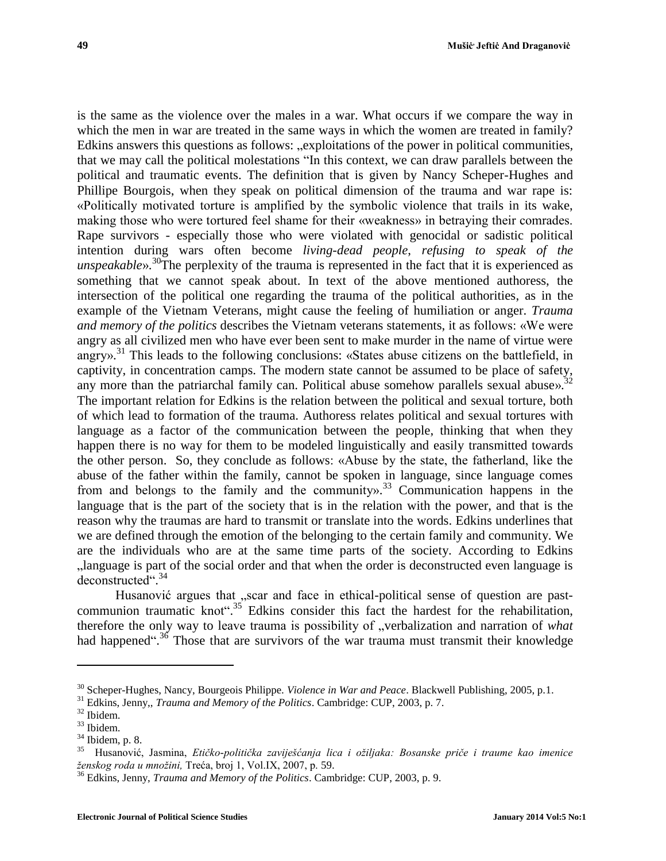is the same as the violence over the males in a war. What occurs if we compare the way in which the men in war are treated in the same ways in which the women are treated in family? Edkins answers this questions as follows: "exploitations of the power in political communities, that we may call the political molestations "In this context, we can draw parallels between the political and traumatic events. The definition that is given by Nancy Scheper-Hughes and Phillipe Bourgois, when they speak on political dimension of the trauma and war rape is: «Politically motivated torture is amplified by the symbolic violence that trails in its wake, making those who were tortured feel shame for their «weakness» in betraying their comrades. Rape survivors - especially those who were violated with genocidal or sadistic political intention during wars often become *living-dead people*, *refusing to speak of the unspeakable*». <sup>30</sup>The perplexity of the trauma is represented in the fact that it is experienced as something that we cannot speak about. In text of the above mentioned authoress, the intersection of the political one regarding the trauma of the political authorities, as in the example of the Vietnam Veterans, might cause the feeling of humiliation or anger. *Trauma and memory of the politics* describes the Vietnam veterans statements, it as follows: «We were angry as all civilized men who have ever been sent to make murder in the name of virtue were angry».<sup>31</sup> This leads to the following conclusions: «States abuse citizens on the battlefield, in captivity, in concentration camps. The modern state cannot be assumed to be place of safety, any more than the patriarchal family can. Political abuse somehow parallels sexual abuse».<sup>32</sup> The important relation for Edkins is the relation between the political and sexual torture, both of which lead to formation of the trauma. Authoress relates political and sexual tortures with language as a factor of the communication between the people, thinking that when they happen there is no way for them to be modeled linguistically and easily transmitted towards the other person. So, they conclude as follows: «Abuse by the state, the fatherland, like the abuse of the father within the family, cannot be spoken in language, since language comes from and belongs to the family and the community». <sup>33</sup> Communication happens in the language that is the part of the society that is in the relation with the power, and that is the reason why the traumas are hard to transmit or translate into the words. Edkins underlines that we are defined through the emotion of the belonging to the certain family and community. We are the individuals who are at the same time parts of the society. According to Edkins "language is part of the social order and that when the order is deconstructed even language is deconstructed". 34

Husanović argues that  $\sum_{n=1}^{\infty}$ , scar and face in ethical-political sense of question are pastcommunion traumatic knot".<sup>35</sup> Edkins consider this fact the hardest for the rehabilitation, therefore the only way to leave trauma is possibility of "verbalization and narration of *what* had happened".<sup>36</sup> Those that are survivors of the war trauma must transmit their knowledge

l

<sup>30</sup> Scheper-Hughes, Nancy, Bourgeois Philippe. *Violence in War and Peace*. Blackwell Publishing, 2005, p.1.

<sup>31</sup> Edkins, Jenny,, *Trauma and Memory of the Politics*. Cambridge: CUP, 2003, p. 7.

<sup>32</sup> Ibidem.

<sup>33</sup> Ibidem.

 $\frac{34}{35}$  Ibidem, p. 8.

<sup>35</sup> Husanović, Jasmina, *Etičko-politička zaviješćanja lica i ožiljaka: Bosanske priče i traume kao imenice ženskog roda u množini,* Treća, broj 1, Vol.IX, 2007, p. 59.

<sup>36</sup> Edkins, Jenny, *Trauma and Memory of the Politics*. Cambridge: CUP, 2003, p. 9.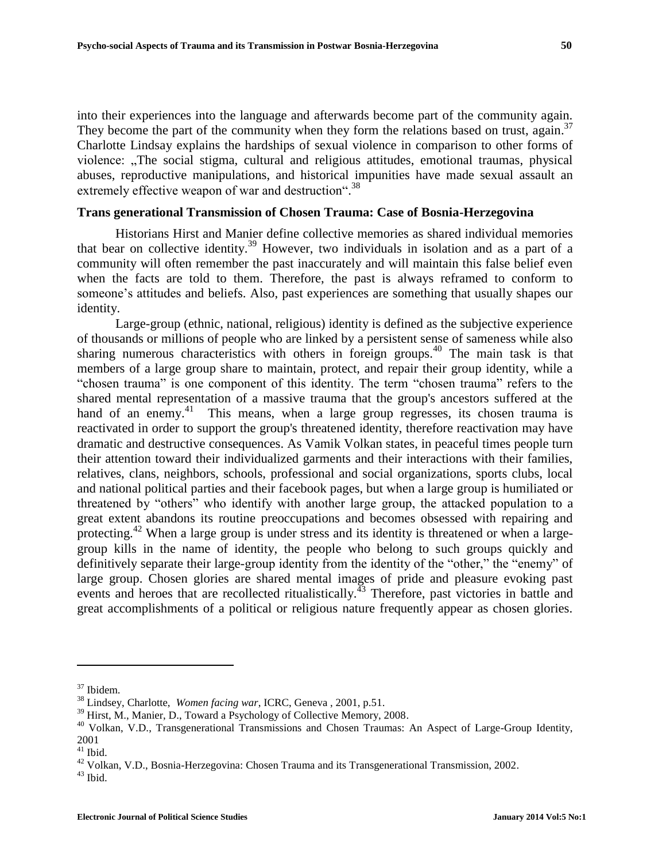into their experiences into the language and afterwards become part of the community again. They become the part of the community when they form the relations based on trust, again.<sup>37</sup> Charlotte Lindsay explains the hardships of sexual violence in comparison to other forms of violence: "The social stigma, cultural and religious attitudes, emotional traumas, physical abuses, reproductive manipulations, and historical impunities have made sexual assault an extremely effective weapon of war and destruction".<sup>38</sup>

# **Trans generational Transmission of Chosen Trauma: Case of Bosnia-Herzegovina**

Historians Hirst and Manier define collective memories as shared individual memories that bear on collective identity.<sup>39</sup> However, two individuals in isolation and as a part of a community will often remember the past inaccurately and will maintain this false belief even when the facts are told to them. Therefore, the past is always reframed to conform to someone's attitudes and beliefs. Also, past experiences are something that usually shapes our identity.

Large-group (ethnic, national, religious) identity is defined as the subjective experience of thousands or millions of people who are linked by a persistent sense of sameness while also sharing numerous characteristics with others in foreign groups.<sup>40</sup> The main task is that members of a large group share to maintain, protect, and repair their group identity, while a "chosen trauma" is one component of this identity. The term "chosen trauma" refers to the shared mental representation of a massive trauma that the group's ancestors suffered at the hand of an enemy.<sup>41</sup> This means, when a large group regresses, its chosen trauma is reactivated in order to support the group's threatened identity, therefore reactivation may have dramatic and destructive consequences. As Vamik Volkan states, in peaceful times people turn their attention toward their individualized garments and their interactions with their families, relatives, clans, neighbors, schools, professional and social organizations, sports clubs, local and national political parties and their facebook pages, but when a large group is humiliated or threatened by "others" who identify with another large group, the attacked population to a great extent abandons its routine preoccupations and becomes obsessed with repairing and protecting.<sup>42</sup> When a large group is under stress and its identity is threatened or when a largegroup kills in the name of identity, the people who belong to such groups quickly and definitively separate their large-group identity from the identity of the "other," the "enemy" of large group. Chosen glories are shared mental images of pride and pleasure evoking past events and heroes that are recollected ritualistically.<sup> $\frac{3}{43}$ </sup> Therefore, past victories in battle and great accomplishments of a political or religious nature frequently appear as chosen glories.

l

<sup>37</sup> Ibidem.

<sup>38</sup> Lindsey, Charlotte, *Women facing war*, ICRC, Geneva , 2001, p.51.

<sup>&</sup>lt;sup>39</sup> Hirst, M., Manier, D., Toward a Psychology of Collective Memory, 2008.

<sup>&</sup>lt;sup>40</sup> Volkan, V.D., Transgenerational Transmissions and Chosen Traumas: An Aspect of Large-Group Identity, 2001

 $^{\rm 41}$  Ibid.

<sup>42</sup> Volkan, V.D., Bosnia-Herzegovina: Chosen Trauma and its Transgenerational Transmission, 2002.

 $^{43}$  Ibid.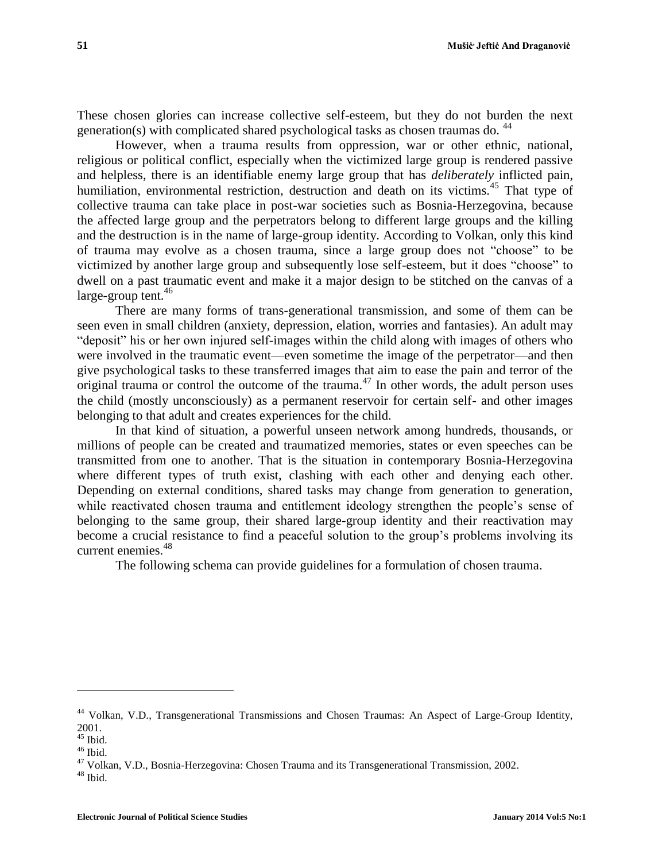These chosen glories can increase collective self-esteem, but they do not burden the next generation(s) with complicated shared psychological tasks as chosen traumas do. <sup>44</sup>

However, when a trauma results from oppression, war or other ethnic, national, religious or political conflict, especially when the victimized large group is rendered passive and helpless, there is an identifiable enemy large group that has *deliberately* inflicted pain, humiliation, environmental restriction, destruction and death on its victims.<sup>45</sup> That type of collective trauma can take place in post-war societies such as Bosnia-Herzegovina, because the affected large group and the perpetrators belong to different large groups and the killing and the destruction is in the name of large-group identity. According to Volkan, only this kind of trauma may evolve as a chosen trauma, since a large group does not "choose" to be victimized by another large group and subsequently lose self-esteem, but it does "choose" to dwell on a past traumatic event and make it a major design to be stitched on the canvas of a  $large$ -group tent.<sup>46</sup>

There are many forms of trans-generational transmission, and some of them can be seen even in small children (anxiety, depression, elation, worries and fantasies). An adult may "deposit" his or her own injured self-images within the child along with images of others who were involved in the traumatic event—even sometime the image of the perpetrator—and then give psychological tasks to these transferred images that aim to ease the pain and terror of the original trauma or control the outcome of the trauma.<sup>47</sup> In other words, the adult person uses the child (mostly unconsciously) as a permanent reservoir for certain self- and other images belonging to that adult and creates experiences for the child.

In that kind of situation, a powerful unseen network among hundreds, thousands, or millions of people can be created and traumatized memories, states or even speeches can be transmitted from one to another. That is the situation in contemporary Bosnia-Herzegovina where different types of truth exist, clashing with each other and denying each other. Depending on external conditions, shared tasks may change from generation to generation, while reactivated chosen trauma and entitlement ideology strengthen the people's sense of belonging to the same group, their shared large-group identity and their reactivation may become a crucial resistance to find a peaceful solution to the group's problems involving its current enemies.<sup>48</sup>

The following schema can provide guidelines for a formulation of chosen trauma.

<sup>44</sup> Volkan, V.D., Transgenerational Transmissions and Chosen Traumas: An Aspect of Large-Group Identity, 2001.

 $45$  Ibid.

 $46$  Ibid.

<sup>&</sup>lt;sup>47</sup> Volkan, V.D., Bosnia-Herzegovina: Chosen Trauma and its Transgenerational Transmission, 2002.

 $^{\rm 48}$  Ibid.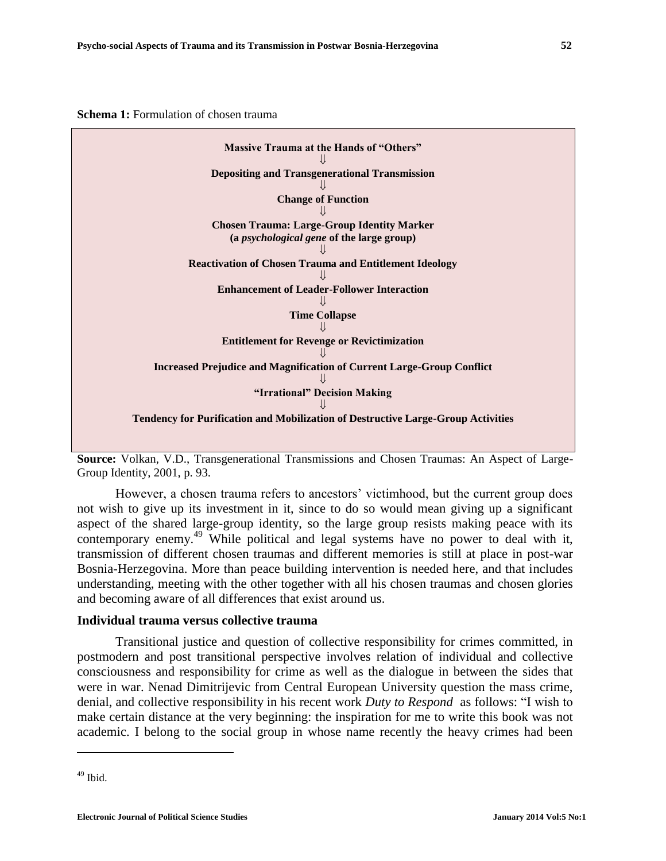**Schema 1:** Formulation of chosen trauma



**Source:** Volkan, V.D., Transgenerational Transmissions and Chosen Traumas: An Aspect of Large-Group Identity, 2001, p. 93.

However, a chosen trauma refers to ancestors' victimhood, but the current group does not wish to give up its investment in it, since to do so would mean giving up a significant aspect of the shared large-group identity, so the large group resists making peace with its contemporary enemy.<sup>49</sup> While political and legal systems have no power to deal with it, transmission of different chosen traumas and different memories is still at place in post-war Bosnia-Herzegovina. More than peace building intervention is needed here, and that includes understanding, meeting with the other together with all his chosen traumas and chosen glories and becoming aware of all differences that exist around us.

#### **Individual trauma versus collective trauma**

Transitional justice and question of collective responsibility for crimes committed, in postmodern and post transitional perspective involves relation of individual and collective consciousness and responsibility for crime as well as the dialogue in between the sides that were in war. Nenad Dimitrijevic from Central European University question the mass crime, denial, and collective responsibility in his recent work *Duty to Respond* as follows: "I wish to make certain distance at the very beginning: the inspiration for me to write this book was not academic. I belong to the social group in whose name recently the heavy crimes had been

 $49$  Ibid.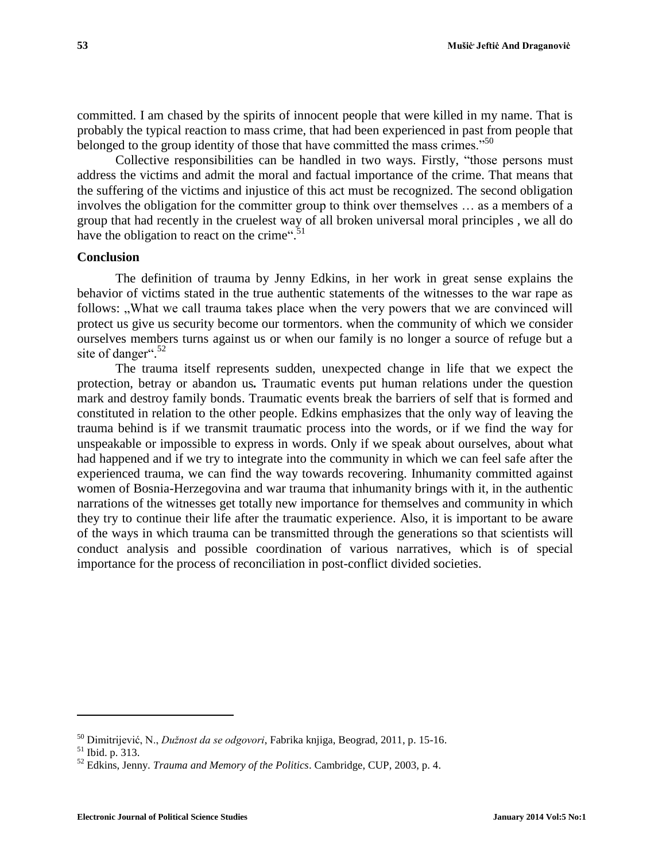committed. I am chased by the spirits of innocent people that were killed in my name. That is probably the typical reaction to mass crime, that had been experienced in past from people that belonged to the group identity of those that have committed the mass crimes."<sup>50</sup>

Collective responsibilities can be handled in two ways. Firstly, "those persons must address the victims and admit the moral and factual importance of the crime. That means that the suffering of the victims and injustice of this act must be recognized. The second obligation involves the obligation for the committer group to think over themselves … as a members of a group that had recently in the cruelest way of all broken universal moral principles , we all do have the obligation to react on the crime".<sup>51</sup>

## **Conclusion**

The definition of trauma by Jenny Edkins, in her work in great sense explains the behavior of victims stated in the true authentic statements of the witnesses to the war rape as follows: "What we call trauma takes place when the very powers that we are convinced will protect us give us security become our tormentors. when the community of which we consider ourselves members turns against us or when our family is no longer a source of refuge but a site of danger".<sup>52</sup>

The trauma itself represents sudden, unexpected change in life that we expect the protection, betray or abandon us*.* Traumatic events put human relations under the question mark and destroy family bonds. Traumatic events break the barriers of self that is formed and constituted in relation to the other people. Edkins emphasizes that the only way of leaving the trauma behind is if we transmit traumatic process into the words, or if we find the way for unspeakable or impossible to express in words. Only if we speak about ourselves, about what had happened and if we try to integrate into the community in which we can feel safe after the experienced trauma, we can find the way towards recovering. Inhumanity committed against women of Bosnia-Herzegovina and war trauma that inhumanity brings with it, in the authentic narrations of the witnesses get totally new importance for themselves and community in which they try to continue their life after the traumatic experience. Also, it is important to be aware of the ways in which trauma can be transmitted through the generations so that scientists will conduct analysis and possible coordination of various narratives, which is of special importance for the process of reconciliation in post-conflict divided societies.

<sup>50</sup> Dimitrijević, N., *Dužnost da se odgovori*, Fabrika knjiga, Beograd, 2011, p. 15-16.

<sup>51</sup> Ibid. p. 313.

<sup>52</sup> Edkins, Jenny. *Trauma and Memory of the Politics*. Cambridge, CUP, 2003, p. 4.